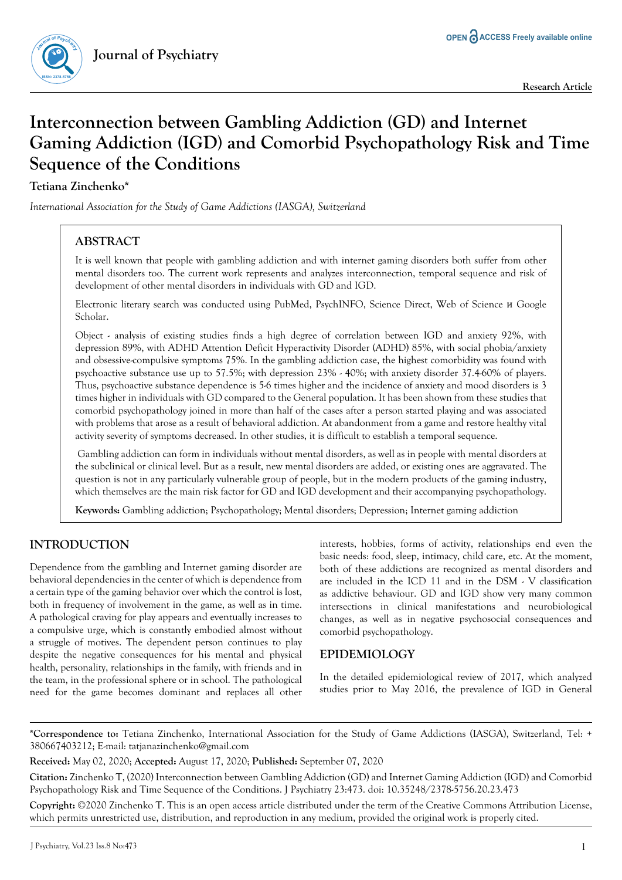

**Research Article**

# **Interconnection between Gambling Addiction (GD) and Internet Gaming Addiction (IGD) and Comorbid Psychopathology Risk and Time Sequence of the Conditions**

# **Tetiana Zinchenko\***

*International Association for the Study of Game Addictions (IASGA), Switzerland*

# **ABSTRACT**

It is well known that people with gambling addiction and with internet gaming disorders both suffer from other mental disorders too. The current work represents and analyzes interconnection, temporal sequence and risk of development of other mental disorders in individuals with GD and IGD.

Electronic literary search was conducted using PubMed, PsychINFO, Science Direct, Web of Science и Google Scholar.

Object - analysis of existing studies finds a high degree of correlation between IGD and anxiety 92%, with depression 89%, with ADHD Attention Deficit Hyperactivity Disorder (ADHD) 85%, with social phobia/anxiety and obsessive-compulsive symptoms 75%. In the gambling addiction case, the highest comorbidity was found with psychoactive substance use up to 57.5%; with depression 23% - 40%; with anxiety disorder 37.4-60% of players. Thus, psychoactive substance dependence is 5-6 times higher and the incidence of anxiety and mood disorders is 3 times higher in individuals with GD compared to the General population. It has been shown from these studies that comorbid psychopathology joined in more than half of the cases after a person started playing and was associated with problems that arose as a result of behavioral addiction. At abandonment from a game and restore healthy vital activity severity of symptoms decreased. In other studies, it is difficult to establish a temporal sequence.

 Gambling addiction can form in individuals without mental disorders, as well as in people with mental disorders at the subclinical or clinical level. But as a result, new mental disorders are added, or existing ones are aggravated. The question is not in any particularly vulnerable group of people, but in the modern products of the gaming industry, which themselves are the main risk factor for GD and IGD development and their accompanying psychopathology.

**Keywords:** Gambling addiction; Psychopathology; Mental disorders; Depression; Internet gaming addiction

# **INTRODUCTION**

Dependence from the gambling and Internet gaming disorder are behavioral dependencies in the center of which is dependence from a certain type of the gaming behavior over which the control is lost, both in frequency of involvement in the game, as well as in time. A pathological craving for play appears and eventually increases to a compulsive urge, which is constantly embodied almost without a struggle of motives. The dependent person continues to play despite the negative consequences for his mental and physical health, personality, relationships in the family, with friends and in the team, in the professional sphere or in school. The pathological need for the game becomes dominant and replaces all other interests, hobbies, forms of activity, relationships end even the basic needs: food, sleep, intimacy, child care, etc. At the moment, both of these addictions are recognized as mental disorders and are included in the ICD 11 and in the DSM - V classification as addictive behaviour. GD and IGD show very many common intersections in clinical manifestations and neurobiological changes, as well as in negative psychosocial consequences and comorbid psychopathology.

### **EPIDEMIOLOGY**

In the detailed epidemiological review of 2017, which analyzed studies prior to May 2016, the prevalence of IGD in General

**\*Correspondence to:** Tetiana Zinchenko, International Association for the Study of Game Addictions (IASGA), Switzerland, Tel: + 380667403212; E-mail: tatjanazinchenko@gmail.com

**Received:** May 02, 2020; **Accepted:** August 17, 2020; **Published:** September 07, 2020

**Citation:** Zinchenko T, (2020) Interconnection between Gambling Addiction (GD) and Internet Gaming Addiction (IGD) and Comorbid Psychopathology Risk and Time Sequence of the Conditions. J Psychiatry 23:473. doi: 10.35248/2378-5756.20.23.473

**Copyright:** ©2020 Zinchenko T. This is an open access article distributed under the term of the Creative Commons Attribution License, which permits unrestricted use, distribution, and reproduction in any medium, provided the original work is properly cited.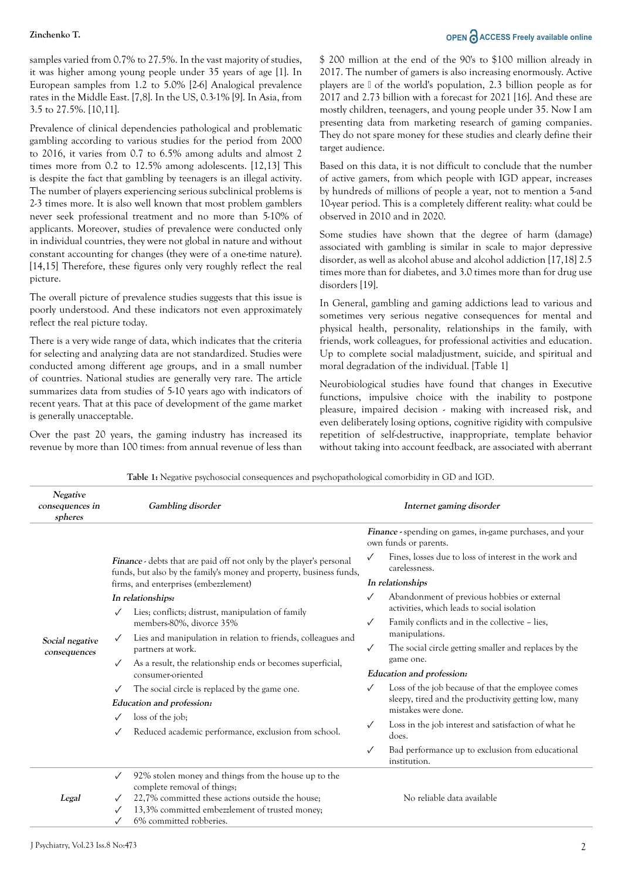samples varied from 0.7% to 27.5%. In the vast majority of studies, it was higher among young people under 35 years of age [1]. In European samples from 1.2 to 5.0% [2-6] Analogical prevalence rates in the Middle East. [7,8]. In the US, 0.3-1% [9]. In Asia, from 3.5 to 27.5%. [10,11].

Prevalence of clinical dependencies pathological and problematic gambling according to various studies for the period from 2000 to 2016, it varies from 0.7 to 6.5% among adults and almost 2 times more from 0.2 to 12.5% among adolescents. [12,13] This is despite the fact that gambling by teenagers is an illegal activity. The number of players experiencing serious subclinical problems is 2-3 times more. It is also well known that most problem gamblers never seek professional treatment and no more than 5-10% of applicants. Moreover, studies of prevalence were conducted only in individual countries, they were not global in nature and without constant accounting for changes (they were of a one-time nature). [14,15] Therefore, these figures only very roughly reflect the real picture.

The overall picture of prevalence studies suggests that this issue is poorly understood. And these indicators not even approximately reflect the real picture today.

There is a very wide range of data, which indicates that the criteria for selecting and analyzing data are not standardized. Studies were conducted among different age groups, and in a small number of countries. National studies are generally very rare. The article summarizes data from studies of 5-10 years ago with indicators of recent years. That at this pace of development of the game market is generally unacceptable.

Over the past 20 years, the gaming industry has increased its revenue by more than 100 times: from annual revenue of less than

# **Zinchenko T. OPEN ACCESS Freely available online**

\$ 200 million at the end of the 90's to \$100 million already in 2017. The number of gamers is also increasing enormously. Active players are ⅓ of the world's population, 2.3 billion people as for 2017 and 2.73 billion with a forecast for 2021 [16]. And these are mostly children, teenagers, and young people under 35. Now I am presenting data from marketing research of gaming companies. They do not spare money for these studies and clearly define their target audience.

Based on this data, it is not difficult to conclude that the number of active gamers, from which people with IGD appear, increases by hundreds of millions of people a year, not to mention a 5-and 10-year period. This is a completely different reality: what could be observed in 2010 and in 2020.

Some studies have shown that the degree of harm (damage) associated with gambling is similar in scale to major depressive disorder, as well as alcohol abuse and alcohol addiction [17,18] 2.5 times more than for diabetes, and 3.0 times more than for drug use disorders [19].

In General, gambling and gaming addictions lead to various and sometimes very serious negative consequences for mental and physical health, personality, relationships in the family, with friends, work colleagues, for professional activities and education. Up to complete social maladjustment, suicide, and spiritual and moral degradation of the individual. [Table 1]

Neurobiological studies have found that changes in Executive functions, impulsive choice with the inability to postpone pleasure, impaired decision - making with increased risk, and even deliberately losing options, cognitive rigidity with compulsive repetition of self-destructive, inappropriate, template behavior without taking into account feedback, are associated with aberrant

**Table 1:** Negative psychosocial consequences and psychopathological comorbidity in GD and IGD.

| Negative<br>consequences in<br>spheres |                                                                                                                                                   | Gambling disorder                                                                                                                                                                                                                                                                                       |                                                                                          | Internet gaming disorder                                                                   |  |
|----------------------------------------|---------------------------------------------------------------------------------------------------------------------------------------------------|---------------------------------------------------------------------------------------------------------------------------------------------------------------------------------------------------------------------------------------------------------------------------------------------------------|------------------------------------------------------------------------------------------|--------------------------------------------------------------------------------------------|--|
|                                        |                                                                                                                                                   |                                                                                                                                                                                                                                                                                                         | <b>Finance</b> - spending on games, in-game purchases, and your<br>own funds or parents. |                                                                                            |  |
| Social negative<br>consequences        | <b>Finance</b> - debts that are paid off not only by the player's personal<br>funds, but also by the family's money and property, business funds, |                                                                                                                                                                                                                                                                                                         |                                                                                          | Fines, losses due to loss of interest in the work and<br>carelessness.                     |  |
|                                        | firms, and enterprises (embezzlement)                                                                                                             |                                                                                                                                                                                                                                                                                                         | In relationships                                                                         |                                                                                            |  |
|                                        | In relationships:                                                                                                                                 |                                                                                                                                                                                                                                                                                                         |                                                                                          | Abandonment of previous hobbies or external<br>activities, which leads to social isolation |  |
|                                        |                                                                                                                                                   | Lies; conflicts; distrust, manipulation of family<br>members-80%, divorce 35%<br>Lies and manipulation in relation to friends, colleagues and<br>partners at work.<br>As a result, the relationship ends or becomes superficial,<br>consumer-oriented<br>The social circle is replaced by the game one. | $\checkmark$                                                                             | Family conflicts and in the collective - lies,                                             |  |
|                                        |                                                                                                                                                   |                                                                                                                                                                                                                                                                                                         | $\checkmark$                                                                             | manipulations.<br>The social circle getting smaller and replaces by the                    |  |
|                                        |                                                                                                                                                   |                                                                                                                                                                                                                                                                                                         | game one.<br>Education and profession:                                                   |                                                                                            |  |
|                                        |                                                                                                                                                   |                                                                                                                                                                                                                                                                                                         |                                                                                          | Loss of the job because of that the employee comes                                         |  |
|                                        | Education and profession:                                                                                                                         |                                                                                                                                                                                                                                                                                                         |                                                                                          | sleepy, tired and the productivity getting low, many<br>mistakes were done.                |  |
|                                        |                                                                                                                                                   | loss of the job;<br>Reduced academic performance, exclusion from school.                                                                                                                                                                                                                                | $\checkmark$                                                                             | Loss in the job interest and satisfaction of what he<br>does.                              |  |
|                                        |                                                                                                                                                   |                                                                                                                                                                                                                                                                                                         | $\checkmark$                                                                             | Bad performance up to exclusion from educational<br>institution.                           |  |
| Legal                                  | $\checkmark$                                                                                                                                      | 92% stolen money and things from the house up to the<br>complete removal of things;<br>22,7% committed these actions outside the house;<br>13,3% committed embezzlement of trusted money;<br>6% committed robberies.                                                                                    |                                                                                          | No reliable data available                                                                 |  |
|                                        |                                                                                                                                                   |                                                                                                                                                                                                                                                                                                         |                                                                                          |                                                                                            |  |
|                                        |                                                                                                                                                   |                                                                                                                                                                                                                                                                                                         |                                                                                          |                                                                                            |  |
|                                        |                                                                                                                                                   |                                                                                                                                                                                                                                                                                                         |                                                                                          |                                                                                            |  |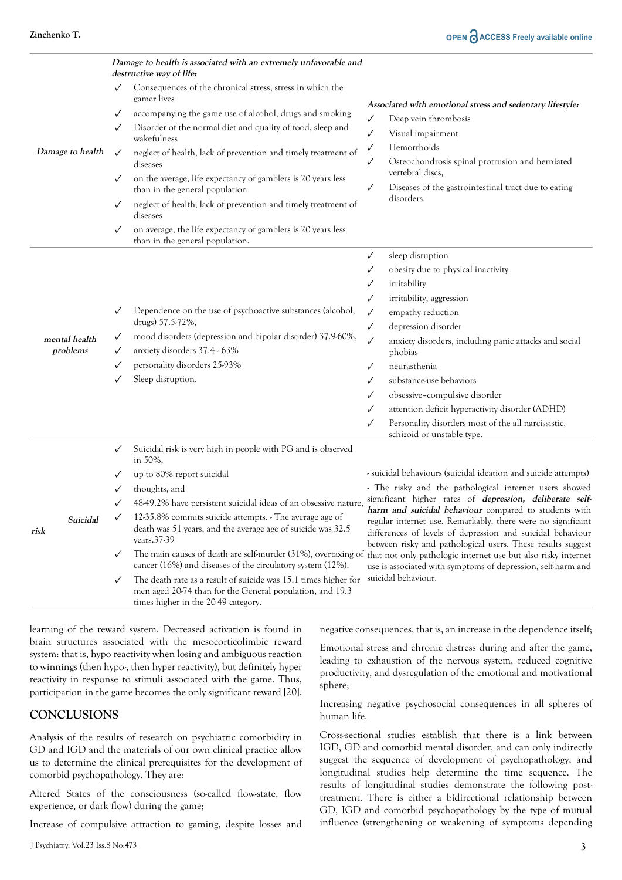|                           | Damage to health is associated with an extremely unfavorable and<br>destructive way of life:      |                                                                                                                                                                                                                                                                                                                                                                                                                                                                                                                                                                                                                                        |                                                                                                                                                                                                                                                                                                                                                                                                                                                                                                                                                                                                   |  |  |
|---------------------------|---------------------------------------------------------------------------------------------------|----------------------------------------------------------------------------------------------------------------------------------------------------------------------------------------------------------------------------------------------------------------------------------------------------------------------------------------------------------------------------------------------------------------------------------------------------------------------------------------------------------------------------------------------------------------------------------------------------------------------------------------|---------------------------------------------------------------------------------------------------------------------------------------------------------------------------------------------------------------------------------------------------------------------------------------------------------------------------------------------------------------------------------------------------------------------------------------------------------------------------------------------------------------------------------------------------------------------------------------------------|--|--|
| Damage to health          | $\checkmark$<br>$\checkmark$<br>✓<br>$\checkmark$<br>$\checkmark$<br>$\checkmark$<br>$\checkmark$ | Consequences of the chronical stress, stress in which the<br>gamer lives<br>accompanying the game use of alcohol, drugs and smoking<br>Disorder of the normal diet and quality of food, sleep and<br>wakefulness<br>neglect of health, lack of prevention and timely treatment of<br>diseases<br>on the average, life expectancy of gamblers is 20 years less<br>than in the general population<br>neglect of health, lack of prevention and timely treatment of<br>diseases<br>on average, the life expectancy of gamblers is 20 years less<br>than in the general population.                                                        | Associated with emotional stress and sedentary lifestyle:<br>Deep vein thrombosis<br>✓<br>$\checkmark$<br>Visual impairment<br>Hemorrhoids<br>$\checkmark$<br>Osteochondrosis spinal protrusion and herniated<br>✓<br>vertebral discs,<br>Diseases of the gastrointestinal tract due to eating<br>$\checkmark$<br>disorders.                                                                                                                                                                                                                                                                      |  |  |
| mental health<br>problems | $\checkmark$<br>$\checkmark$<br>✓<br>✓<br>$\checkmark$                                            | Dependence on the use of psychoactive substances (alcohol,<br>drugs) 57.5-72%,<br>mood disorders (depression and bipolar disorder) 37.9-60%,<br>anxiety disorders 37.4 - 63%<br>personality disorders 25-93%<br>Sleep disruption.                                                                                                                                                                                                                                                                                                                                                                                                      | sleep disruption<br>$\checkmark$<br>obesity due to physical inactivity<br>$\checkmark$<br>irritability<br>✓<br>irritability, aggression<br>✓<br>empathy reduction<br>$\checkmark$<br>depression disorder<br>✓<br>$\checkmark$<br>anxiety disorders, including panic attacks and social<br>phobias<br>neurasthenia<br>$\checkmark$<br>substance-use behaviors<br>✓<br>obsessive-compulsive disorder<br>$\checkmark$<br>attention deficit hyperactivity disorder (ADHD)<br>$\checkmark$<br>Personality disorders most of the all narcissistic,<br>$\checkmark$<br>schizoid or unstable type.        |  |  |
| Suicidal<br>risk          | $\checkmark$<br>✓<br>✓<br>$\checkmark$<br>$\checkmark$                                            | Suicidal risk is very high in people with PG and is observed<br>in 50%,<br>up to 80% report suicidal<br>thoughts, and<br>48-49.2% have persistent suicidal ideas of an obsessive nature,<br>12-35.8% commits suicide attempts. - The average age of<br>death was 51 years, and the average age of suicide was 32.5<br>years.37-39<br>The main causes of death are self-murder (31%), overtaxing of<br>cancer (16%) and diseases of the circulatory system (12%).<br>The death rate as a result of suicide was 15.1 times higher for<br>men aged 20-74 than for the General population, and 19.3<br>times higher in the 20-49 category. | - suicidal behaviours (suicidal ideation and suicide attempts)<br>- The risky and the pathological internet users showed<br>significant higher rates of depression, deliberate self-<br>harm and suicidal behaviour compared to students with<br>regular internet use. Remarkably, there were no significant<br>differences of levels of depression and suicidal behaviour<br>between risky and pathological users. These results suggest<br>that not only pathologic internet use but also risky internet<br>use is associated with symptoms of depression, self-harm and<br>suicidal behaviour. |  |  |

learning of the reward system. Decreased activation is found in brain structures associated with the mesocorticolimbic reward system: that is, hypo reactivity when losing and ambiguous reaction to winnings (then hypo-, then hyper reactivity), but definitely hyper reactivity in response to stimuli associated with the game. Thus, participation in the game becomes the only significant reward [20].

### **CONCLUSIONS**

Analysis of the results of research on psychiatric comorbidity in GD and IGD and the materials of our own clinical practice allow us to determine the clinical prerequisites for the development of comorbid psychopathology. They are:

Altered States of the consciousness (so-called flow-state, flow experience, or dark flow) during the game;

Increase of compulsive attraction to gaming, despite losses and

J Psychiatry, Vol.23 Iss.8 No:473

negative consequences, that is, an increase in the dependence itself;

Emotional stress and chronic distress during and after the game, leading to exhaustion of the nervous system, reduced cognitive productivity, and dysregulation of the emotional and motivational sphere;

Increasing negative psychosocial consequences in all spheres of human life.

Cross-sectional studies establish that there is a link between IGD, GD and comorbid mental disorder, and can only indirectly suggest the sequence of development of psychopathology, and longitudinal studies help determine the time sequence. The results of longitudinal studies demonstrate the following posttreatment. There is either a bidirectional relationship between GD, IGD and comorbid psychopathology by the type of mutual influence (strengthening or weakening of symptoms depending